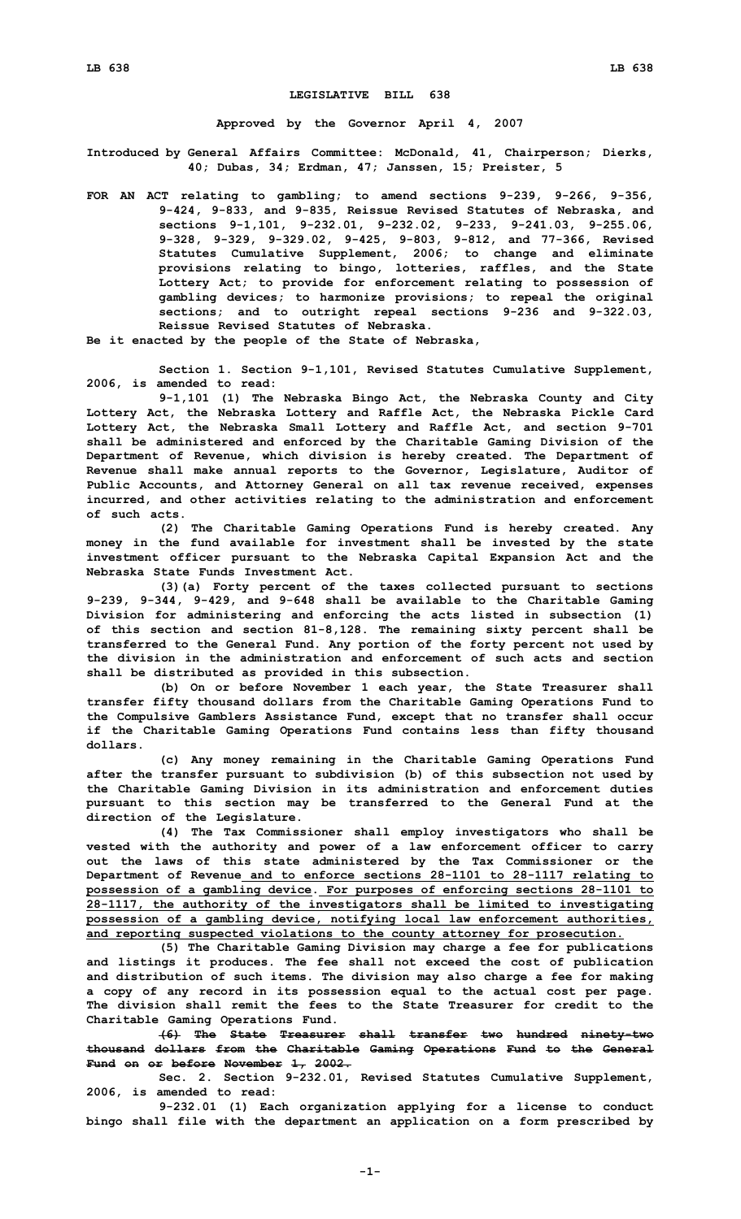## **LEGISLATIVE BILL 638**

**Approved by the Governor April 4, 2007**

**Introduced by General Affairs Committee: McDonald, 41, Chairperson; Dierks, 40; Dubas, 34; Erdman, 47; Janssen, 15; Preister, 5**

**FOR AN ACT relating to gambling; to amend sections 9-239, 9-266, 9-356, 9-424, 9-833, and 9-835, Reissue Revised Statutes of Nebraska, and sections 9-1,101, 9-232.01, 9-232.02, 9-233, 9-241.03, 9-255.06, 9-328, 9-329, 9-329.02, 9-425, 9-803, 9-812, and 77-366, Revised Statutes Cumulative Supplement, 2006; to change and eliminate provisions relating to bingo, lotteries, raffles, and the State Lottery Act; to provide for enforcement relating to possession of gambling devices; to harmonize provisions; to repeal the original sections; and to outright repeal sections 9-236 and 9-322.03, Reissue Revised Statutes of Nebraska.**

**Be it enacted by the people of the State of Nebraska,**

**Section 1. Section 9-1,101, Revised Statutes Cumulative Supplement, 2006, is amended to read:**

**9-1,101 (1) The Nebraska Bingo Act, the Nebraska County and City Lottery Act, the Nebraska Lottery and Raffle Act, the Nebraska Pickle Card Lottery Act, the Nebraska Small Lottery and Raffle Act, and section 9-701 shall be administered and enforced by the Charitable Gaming Division of the Department of Revenue, which division is hereby created. The Department of Revenue shall make annual reports to the Governor, Legislature, Auditor of Public Accounts, and Attorney General on all tax revenue received, expenses incurred, and other activities relating to the administration and enforcement of such acts.**

**(2) The Charitable Gaming Operations Fund is hereby created. Any money in the fund available for investment shall be invested by the state investment officer pursuant to the Nebraska Capital Expansion Act and the Nebraska State Funds Investment Act.**

**(3)(a) Forty percent of the taxes collected pursuant to sections 9-239, 9-344, 9-429, and 9-648 shall be available to the Charitable Gaming Division for administering and enforcing the acts listed in subsection (1) of this section and section 81-8,128. The remaining sixty percent shall be transferred to the General Fund. Any portion of the forty percent not used by the division in the administration and enforcement of such acts and section shall be distributed as provided in this subsection.**

**(b) On or before November 1 each year, the State Treasurer shall transfer fifty thousand dollars from the Charitable Gaming Operations Fund to the Compulsive Gamblers Assistance Fund, except that no transfer shall occur if the Charitable Gaming Operations Fund contains less than fifty thousand dollars.**

**(c) Any money remaining in the Charitable Gaming Operations Fund after the transfer pursuant to subdivision (b) of this subsection not used by the Charitable Gaming Division in its administration and enforcement duties pursuant to this section may be transferred to the General Fund at the direction of the Legislature.**

**(4) The Tax Commissioner shall employ investigators who shall be vested with the authority and power of <sup>a</sup> law enforcement officer to carry out the laws of this state administered by the Tax Commissioner or the Department of Revenue and to enforce sections 28-1101 to 28-1117 relating to possession of <sup>a</sup> gambling device. For purposes of enforcing sections 28-1101 to 28-1117, the authority of the investigators shall be limited to investigating possession of <sup>a</sup> gambling device, notifying local law enforcement authorities, and reporting suspected violations to the county attorney for prosecution.**

**(5) The Charitable Gaming Division may charge <sup>a</sup> fee for publications and listings it produces. The fee shall not exceed the cost of publication and distribution of such items. The division may also charge <sup>a</sup> fee for making <sup>a</sup> copy of any record in its possession equal to the actual cost per page. The division shall remit the fees to the State Treasurer for credit to the Charitable Gaming Operations Fund.**

**(6) The State Treasurer shall transfer two hundred ninety-two thousand dollars from the Charitable Gaming Operations Fund to the General Fund on or before November 1, 2002.**

**Sec. 2. Section 9-232.01, Revised Statutes Cumulative Supplement, 2006, is amended to read:**

**9-232.01 (1) Each organization applying for <sup>a</sup> license to conduct bingo shall file with the department an application on <sup>a</sup> form prescribed by**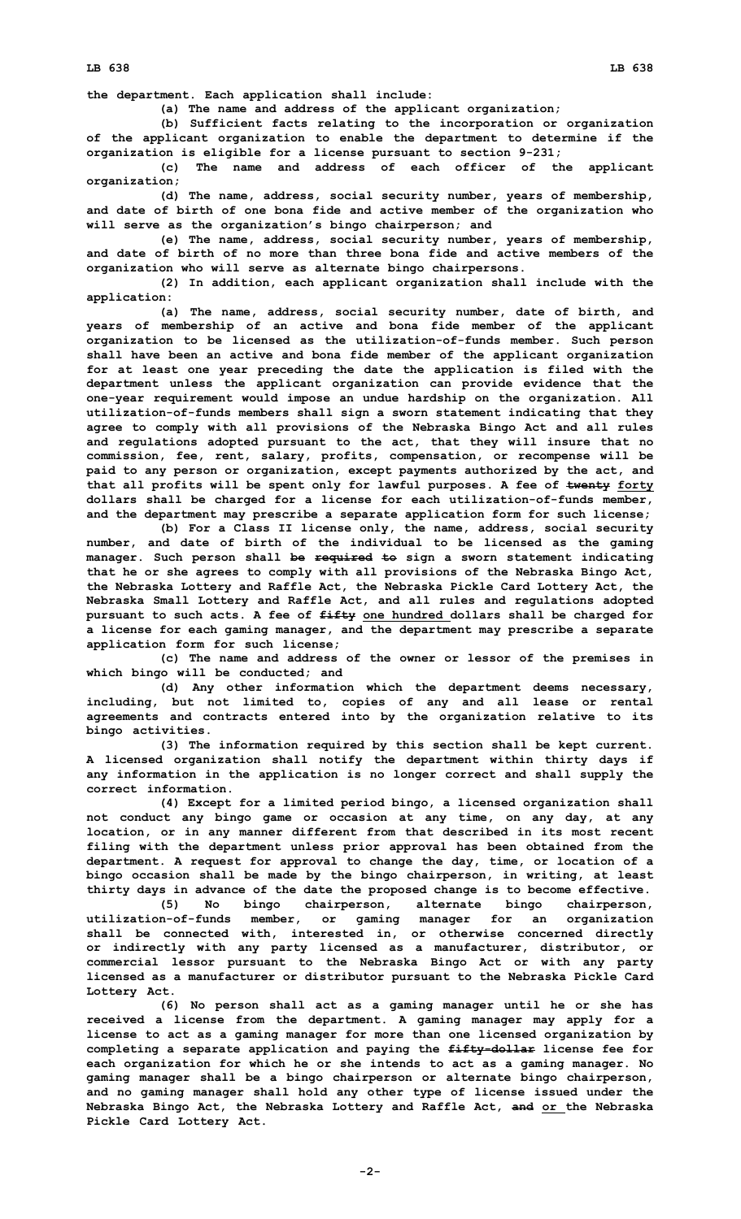**the department. Each application shall include:**

**(a) The name and address of the applicant organization;**

**(b) Sufficient facts relating to the incorporation or organization of the applicant organization to enable the department to determine if the organization is eligible for <sup>a</sup> license pursuant to section 9-231;**

**(c) The name and address of each officer of the applicant organization;**

**(d) The name, address, social security number, years of membership, and date of birth of one bona fide and active member of the organization who will serve as the organization's bingo chairperson; and**

**(e) The name, address, social security number, years of membership, and date of birth of no more than three bona fide and active members of the organization who will serve as alternate bingo chairpersons.**

**(2) In addition, each applicant organization shall include with the application:**

**(a) The name, address, social security number, date of birth, and years of membership of an active and bona fide member of the applicant organization to be licensed as the utilization-of-funds member. Such person shall have been an active and bona fide member of the applicant organization for at least one year preceding the date the application is filed with the department unless the applicant organization can provide evidence that the one-year requirement would impose an undue hardship on the organization. All utilization-of-funds members shall sign <sup>a</sup> sworn statement indicating that they agree to comply with all provisions of the Nebraska Bingo Act and all rules and regulations adopted pursuant to the act, that they will insure that no commission, fee, rent, salary, profits, compensation, or recompense will be paid to any person or organization, except payments authorized by the act, and that all profits will be spent only for lawful purposes. A fee of twenty forty dollars shall be charged for <sup>a</sup> license for each utilization-of-funds member, and the department may prescribe <sup>a</sup> separate application form for such license;**

**(b) For <sup>a</sup> Class II license only, the name, address, social security number, and date of birth of the individual to be licensed as the gaming manager. Such person shall be required to sign <sup>a</sup> sworn statement indicating that he or she agrees to comply with all provisions of the Nebraska Bingo Act, the Nebraska Lottery and Raffle Act, the Nebraska Pickle Card Lottery Act, the Nebraska Small Lottery and Raffle Act, and all rules and regulations adopted pursuant to such acts. A fee of fifty one hundred dollars shall be charged for <sup>a</sup> license for each gaming manager, and the department may prescribe <sup>a</sup> separate application form for such license;**

**(c) The name and address of the owner or lessor of the premises in which bingo will be conducted; and**

**(d) Any other information which the department deems necessary, including, but not limited to, copies of any and all lease or rental agreements and contracts entered into by the organization relative to its bingo activities.**

**(3) The information required by this section shall be kept current. A licensed organization shall notify the department within thirty days if any information in the application is no longer correct and shall supply the correct information.**

**(4) Except for <sup>a</sup> limited period bingo, <sup>a</sup> licensed organization shall not conduct any bingo game or occasion at any time, on any day, at any location, or in any manner different from that described in its most recent filing with the department unless prior approval has been obtained from the department. A request for approval to change the day, time, or location of <sup>a</sup> bingo occasion shall be made by the bingo chairperson, in writing, at least thirty days in advance of the date the proposed change is to become effective.**

**(5) No bingo chairperson, alternate bingo chairperson, utilization-of-funds member, or gaming manager for an organization shall be connected with, interested in, or otherwise concerned directly or indirectly with any party licensed as <sup>a</sup> manufacturer, distributor, or commercial lessor pursuant to the Nebraska Bingo Act or with any party licensed as <sup>a</sup> manufacturer or distributor pursuant to the Nebraska Pickle Card Lottery Act.**

**(6) No person shall act as <sup>a</sup> gaming manager until he or she has received <sup>a</sup> license from the department. A gaming manager may apply for <sup>a</sup> license to act as <sup>a</sup> gaming manager for more than one licensed organization by completing <sup>a</sup> separate application and paying the fifty-dollar license fee for each organization for which he or she intends to act as <sup>a</sup> gaming manager. No gaming manager shall be <sup>a</sup> bingo chairperson or alternate bingo chairperson, and no gaming manager shall hold any other type of license issued under the Nebraska Bingo Act, the Nebraska Lottery and Raffle Act, and or the Nebraska Pickle Card Lottery Act.**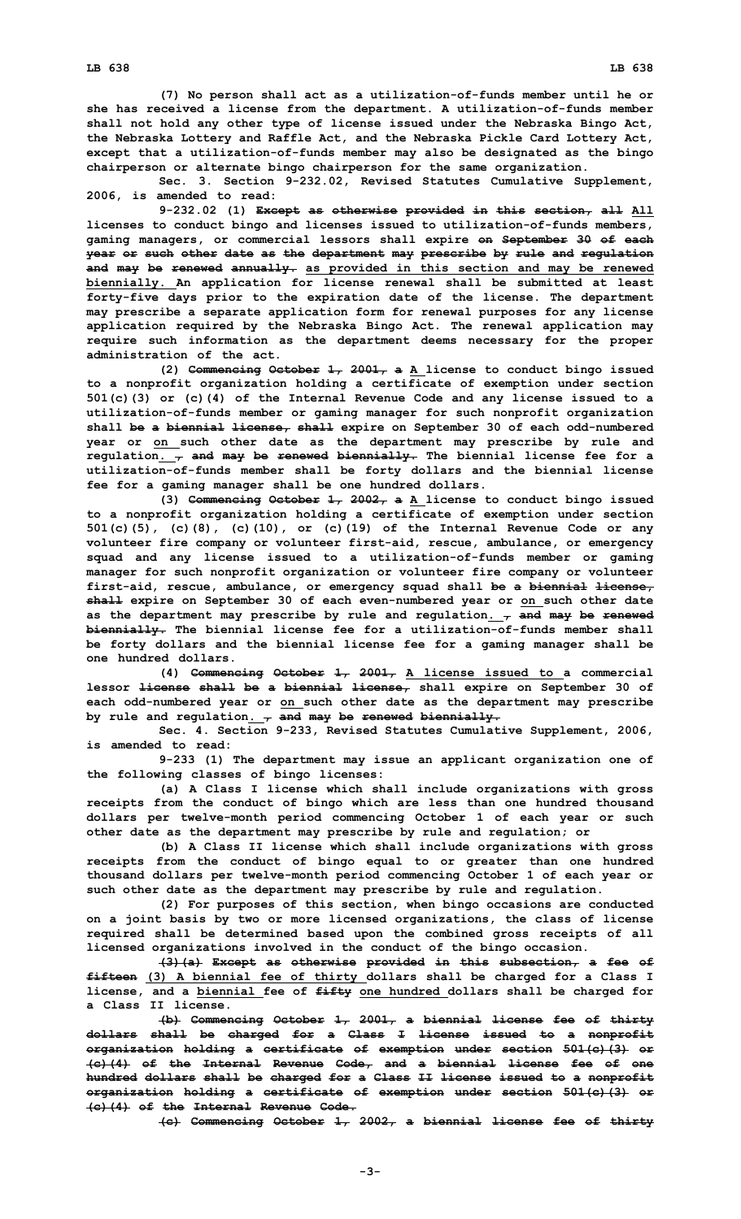**(7) No person shall act as <sup>a</sup> utilization-of-funds member until he or she has received <sup>a</sup> license from the department. A utilization-of-funds member shall not hold any other type of license issued under the Nebraska Bingo Act, the Nebraska Lottery and Raffle Act, and the Nebraska Pickle Card Lottery Act, except that <sup>a</sup> utilization-of-funds member may also be designated as the bingo chairperson or alternate bingo chairperson for the same organization.**

**Sec. 3. Section 9-232.02, Revised Statutes Cumulative Supplement, 2006, is amended to read:**

**9-232.02 (1) Except as otherwise provided in this section, all All licenses to conduct bingo and licenses issued to utilization-of-funds members, gaming managers, or commercial lessors shall expire on September 30 of each year or such other date as the department may prescribe by rule and regulation and may be renewed annually. as provided in this section and may be renewed biennially. An application for license renewal shall be submitted at least forty-five days prior to the expiration date of the license. The department may prescribe <sup>a</sup> separate application form for renewal purposes for any license application required by the Nebraska Bingo Act. The renewal application may require such information as the department deems necessary for the proper administration of the act.**

**(2) Commencing October 1, 2001, <sup>a</sup> <sup>A</sup> license to conduct bingo issued to <sup>a</sup> nonprofit organization holding <sup>a</sup> certificate of exemption under section 501(c)(3) or (c)(4) of the Internal Revenue Code and any license issued to <sup>a</sup> utilization-of-funds member or gaming manager for such nonprofit organization shall be <sup>a</sup> biennial license, shall expire on September 30 of each odd-numbered year or on such other date as the department may prescribe by rule and regulation. , and may be renewed biennially. The biennial license fee for <sup>a</sup> utilization-of-funds member shall be forty dollars and the biennial license fee for <sup>a</sup> gaming manager shall be one hundred dollars.**

**(3) Commencing October 1, 2002, <sup>a</sup> <sup>A</sup> license to conduct bingo issued to <sup>a</sup> nonprofit organization holding <sup>a</sup> certificate of exemption under section 501(c)(5), (c)(8), (c)(10), or (c)(19) of the Internal Revenue Code or any volunteer fire company or volunteer first-aid, rescue, ambulance, or emergency squad and any license issued to <sup>a</sup> utilization-of-funds member or gaming manager for such nonprofit organization or volunteer fire company or volunteer first-aid, rescue, ambulance, or emergency squad shall be <sup>a</sup> biennial license, shall expire on September 30 of each even-numbered year or on such other date as the department may prescribe by rule and regulation. , and may be renewed biennially. The biennial license fee for <sup>a</sup> utilization-of-funds member shall be forty dollars and the biennial license fee for <sup>a</sup> gaming manager shall be one hundred dollars.**

**(4) Commencing October 1, 2001, <sup>A</sup> license issued to <sup>a</sup> commercial lessor license shall be <sup>a</sup> biennial license, shall expire on September 30 of each odd-numbered year or on such other date as the department may prescribe by rule and regulation. , and may be renewed biennially.**

**Sec. 4. Section 9-233, Revised Statutes Cumulative Supplement, 2006, is amended to read:**

**9-233 (1) The department may issue an applicant organization one of the following classes of bingo licenses:**

**(a) <sup>A</sup> Class <sup>I</sup> license which shall include organizations with gross receipts from the conduct of bingo which are less than one hundred thousand dollars per twelve-month period commencing October 1 of each year or such other date as the department may prescribe by rule and regulation; or**

**(b) <sup>A</sup> Class II license which shall include organizations with gross receipts from the conduct of bingo equal to or greater than one hundred thousand dollars per twelve-month period commencing October 1 of each year or such other date as the department may prescribe by rule and regulation.**

**(2) For purposes of this section, when bingo occasions are conducted on <sup>a</sup> joint basis by two or more licensed organizations, the class of license required shall be determined based upon the combined gross receipts of all licensed organizations involved in the conduct of the bingo occasion.**

**(3)(a) Except as otherwise provided in this subsection, <sup>a</sup> fee of fifteen (3) <sup>A</sup> biennial fee of thirty dollars shall be charged for <sup>a</sup> Class <sup>I</sup> license, and <sup>a</sup> biennial fee of fifty one hundred dollars shall be charged for a Class II license.**

**(b) Commencing October 1, 2001, <sup>a</sup> biennial license fee of thirty dollars shall be charged for <sup>a</sup> Class I license issued to <sup>a</sup> nonprofit organization holding <sup>a</sup> certificate of exemption under section 501(c)(3) or (c)(4) of the Internal Revenue Code, and <sup>a</sup> biennial license fee of one hundred dollars shall be charged for <sup>a</sup> Class II license issued to <sup>a</sup> nonprofit organization holding <sup>a</sup> certificate of exemption under section 501(c)(3) or (c)(4) of the Internal Revenue Code.**

**(c) Commencing October 1, 2002, <sup>a</sup> biennial license fee of thirty**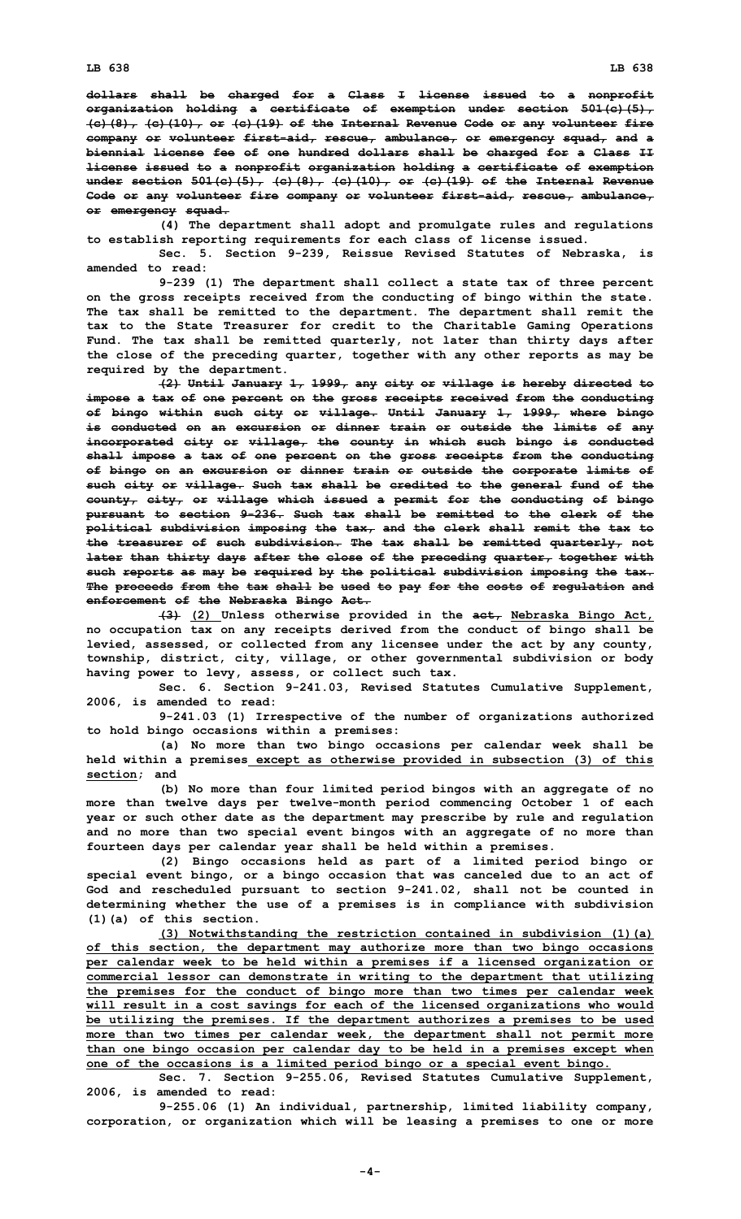**dollars shall be charged for <sup>a</sup> Class I license issued to <sup>a</sup> nonprofit organization holding <sup>a</sup> certificate of exemption under section 501(c)(5), (c)(8), (c)(10), or (c)(19) of the Internal Revenue Code or any volunteer fire company or volunteer first-aid, rescue, ambulance, or emergency squad, and <sup>a</sup> biennial license fee of one hundred dollars shall be charged for <sup>a</sup> Class II license issued to <sup>a</sup> nonprofit organization holding <sup>a</sup> certificate of exemption under section 501(c)(5), (c)(8), (c)(10), or (c)(19) of the Internal Revenue Code or any volunteer fire company or volunteer first-aid, rescue, ambulance, or emergency squad.**

**(4) The department shall adopt and promulgate rules and regulations to establish reporting requirements for each class of license issued.**

**Sec. 5. Section 9-239, Reissue Revised Statutes of Nebraska, is amended to read:**

**9-239 (1) The department shall collect <sup>a</sup> state tax of three percent on the gross receipts received from the conducting of bingo within the state. The tax shall be remitted to the department. The department shall remit the tax to the State Treasurer for credit to the Charitable Gaming Operations Fund. The tax shall be remitted quarterly, not later than thirty days after the close of the preceding quarter, together with any other reports as may be required by the department.**

**(2) Until January 1, 1999, any city or village is hereby directed to impose <sup>a</sup> tax of one percent on the gross receipts received from the conducting of bingo within such city or village. Until January 1, 1999, where bingo is conducted on an excursion or dinner train or outside the limits of any incorporated city or village, the county in which such bingo is conducted shall impose <sup>a</sup> tax of one percent on the gross receipts from the conducting of bingo on an excursion or dinner train or outside the corporate limits of such city or village. Such tax shall be credited to the general fund of the county, city, or village which issued <sup>a</sup> permit for the conducting of bingo pursuant to section 9-236. Such tax shall be remitted to the clerk of the political subdivision imposing the tax, and the clerk shall remit the tax to the treasurer of such subdivision. The tax shall be remitted quarterly, not later than thirty days after the close of the preceding quarter, together with such reports as may be required by the political subdivision imposing the tax. The proceeds from the tax shall be used to pay for the costs of regulation and enforcement of the Nebraska Bingo Act.**

**(3) (2) Unless otherwise provided in the act, Nebraska Bingo Act, no occupation tax on any receipts derived from the conduct of bingo shall be levied, assessed, or collected from any licensee under the act by any county, township, district, city, village, or other governmental subdivision or body having power to levy, assess, or collect such tax.**

**Sec. 6. Section 9-241.03, Revised Statutes Cumulative Supplement, 2006, is amended to read:**

**9-241.03 (1) Irrespective of the number of organizations authorized to hold bingo occasions within <sup>a</sup> premises:**

**(a) No more than two bingo occasions per calendar week shall be held within <sup>a</sup> premises except as otherwise provided in subsection (3) of this section; and**

**(b) No more than four limited period bingos with an aggregate of no more than twelve days per twelve-month period commencing October 1 of each year or such other date as the department may prescribe by rule and regulation and no more than two special event bingos with an aggregate of no more than fourteen days per calendar year shall be held within <sup>a</sup> premises.**

**(2) Bingo occasions held as part of <sup>a</sup> limited period bingo or special event bingo, or <sup>a</sup> bingo occasion that was canceled due to an act of God and rescheduled pursuant to section 9-241.02, shall not be counted in determining whether the use of <sup>a</sup> premises is in compliance with subdivision (1)(a) of this section.**

**(3) Notwithstanding the restriction contained in subdivision (1)(a) of this section, the department may authorize more than two bingo occasions per calendar week to be held within <sup>a</sup> premises if <sup>a</sup> licensed organization or commercial lessor can demonstrate in writing to the department that utilizing the premises for the conduct of bingo more than two times per calendar week will result in <sup>a</sup> cost savings for each of the licensed organizations who would be utilizing the premises. If the department authorizes <sup>a</sup> premises to be used more than two times per calendar week, the department shall not permit more than one bingo occasion per calendar day to be held in <sup>a</sup> premises except when one of the occasions is <sup>a</sup> limited period bingo or <sup>a</sup> special event bingo.**

**Sec. 7. Section 9-255.06, Revised Statutes Cumulative Supplement, 2006, is amended to read:**

**9-255.06 (1) An individual, partnership, limited liability company, corporation, or organization which will be leasing <sup>a</sup> premises to one or more**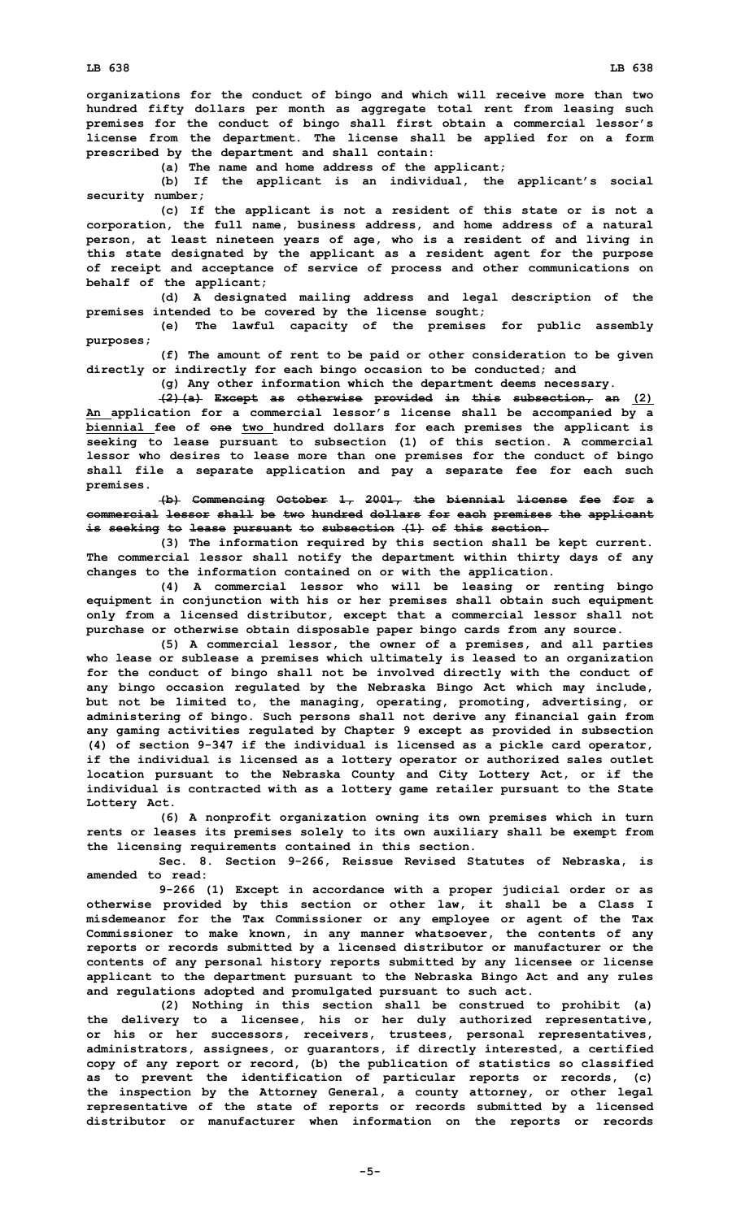**organizations for the conduct of bingo and which will receive more than two hundred fifty dollars per month as aggregate total rent from leasing such premises for the conduct of bingo shall first obtain <sup>a</sup> commercial lessor's license from the department. The license shall be applied for on <sup>a</sup> form prescribed by the department and shall contain:**

**(a) The name and home address of the applicant;**

**(b) If the applicant is an individual, the applicant's social security number;**

**(c) If the applicant is not <sup>a</sup> resident of this state or is not <sup>a</sup> corporation, the full name, business address, and home address of <sup>a</sup> natural person, at least nineteen years of age, who is <sup>a</sup> resident of and living in this state designated by the applicant as <sup>a</sup> resident agent for the purpose of receipt and acceptance of service of process and other communications on behalf of the applicant;**

**(d) <sup>A</sup> designated mailing address and legal description of the premises intended to be covered by the license sought;**

**(e) The lawful capacity of the premises for public assembly purposes;**

**(f) The amount of rent to be paid or other consideration to be given directly or indirectly for each bingo occasion to be conducted; and**

**(g) Any other information which the department deems necessary.**

**(2)(a) Except as otherwise provided in this subsection, an (2) An application for <sup>a</sup> commercial lessor's license shall be accompanied by <sup>a</sup> biennial fee of one two hundred dollars for each premises the applicant is seeking to lease pursuant to subsection (1) of this section. <sup>A</sup> commercial lessor who desires to lease more than one premises for the conduct of bingo shall file <sup>a</sup> separate application and pay <sup>a</sup> separate fee for each such premises.**

**(b) Commencing October 1, 2001, the biennial license fee for <sup>a</sup> commercial lessor shall be two hundred dollars for each premises the applicant is seeking to lease pursuant to subsection (1) of this section.**

**(3) The information required by this section shall be kept current. The commercial lessor shall notify the department within thirty days of any changes to the information contained on or with the application.**

**(4) <sup>A</sup> commercial lessor who will be leasing or renting bingo equipment in conjunction with his or her premises shall obtain such equipment only from <sup>a</sup> licensed distributor, except that <sup>a</sup> commercial lessor shall not purchase or otherwise obtain disposable paper bingo cards from any source.**

**(5) <sup>A</sup> commercial lessor, the owner of <sup>a</sup> premises, and all parties who lease or sublease <sup>a</sup> premises which ultimately is leased to an organization for the conduct of bingo shall not be involved directly with the conduct of any bingo occasion regulated by the Nebraska Bingo Act which may include, but not be limited to, the managing, operating, promoting, advertising, or administering of bingo. Such persons shall not derive any financial gain from any gaming activities regulated by Chapter 9 except as provided in subsection (4) of section 9-347 if the individual is licensed as <sup>a</sup> pickle card operator, if the individual is licensed as <sup>a</sup> lottery operator or authorized sales outlet location pursuant to the Nebraska County and City Lottery Act, or if the individual is contracted with as <sup>a</sup> lottery game retailer pursuant to the State Lottery Act.**

**(6) <sup>A</sup> nonprofit organization owning its own premises which in turn rents or leases its premises solely to its own auxiliary shall be exempt from the licensing requirements contained in this section.**

**Sec. 8. Section 9-266, Reissue Revised Statutes of Nebraska, is amended to read:**

**9-266 (1) Except in accordance with <sup>a</sup> proper judicial order or as otherwise provided by this section or other law, it shall be <sup>a</sup> Class I misdemeanor for the Tax Commissioner or any employee or agent of the Tax Commissioner to make known, in any manner whatsoever, the contents of any reports or records submitted by <sup>a</sup> licensed distributor or manufacturer or the contents of any personal history reports submitted by any licensee or license applicant to the department pursuant to the Nebraska Bingo Act and any rules and regulations adopted and promulgated pursuant to such act.**

**(2) Nothing in this section shall be construed to prohibit (a) the delivery to <sup>a</sup> licensee, his or her duly authorized representative, or his or her successors, receivers, trustees, personal representatives, administrators, assignees, or guarantors, if directly interested, <sup>a</sup> certified copy of any report or record, (b) the publication of statistics so classified as to prevent the identification of particular reports or records, (c) the inspection by the Attorney General, <sup>a</sup> county attorney, or other legal representative of the state of reports or records submitted by <sup>a</sup> licensed distributor or manufacturer when information on the reports or records**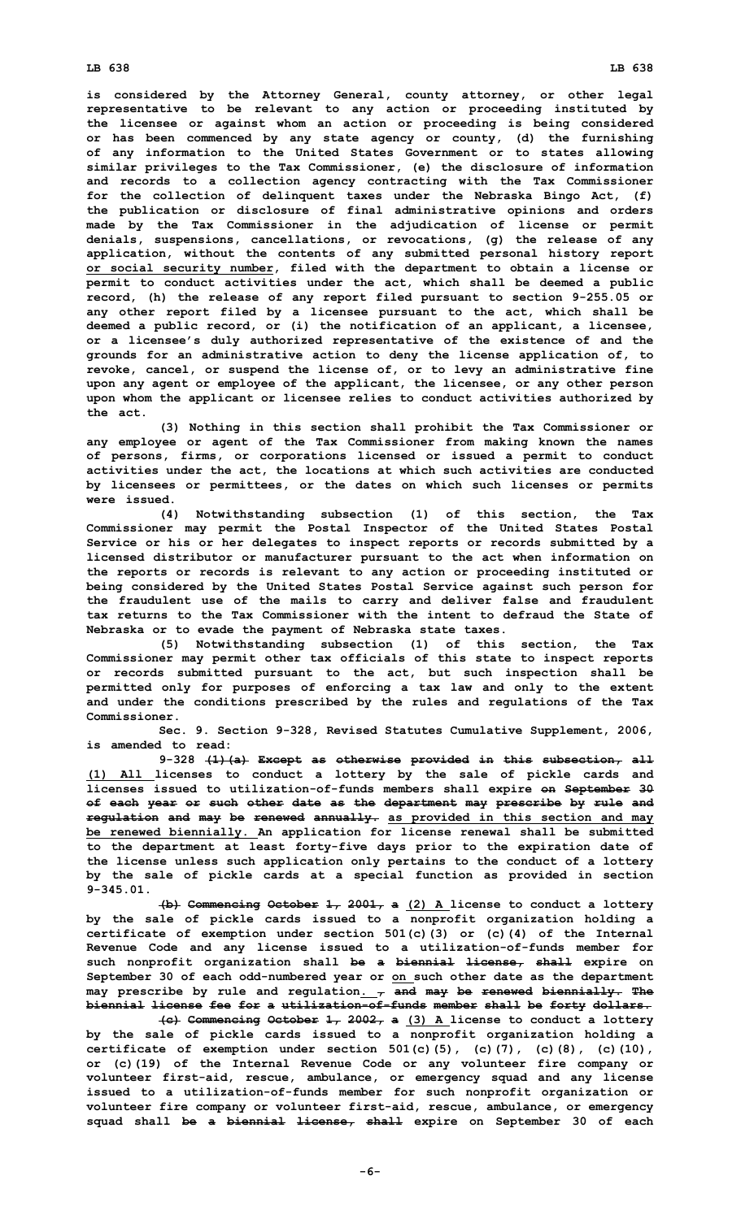**is considered by the Attorney General, county attorney, or other legal representative to be relevant to any action or proceeding instituted by the licensee or against whom an action or proceeding is being considered or has been commenced by any state agency or county, (d) the furnishing of any information to the United States Government or to states allowing similar privileges to the Tax Commissioner, (e) the disclosure of information and records to <sup>a</sup> collection agency contracting with the Tax Commissioner for the collection of delinquent taxes under the Nebraska Bingo Act, (f) the publication or disclosure of final administrative opinions and orders made by the Tax Commissioner in the adjudication of license or permit denials, suspensions, cancellations, or revocations, (g) the release of any application, without the contents of any submitted personal history report or social security number, filed with the department to obtain <sup>a</sup> license or permit to conduct activities under the act, which shall be deemed <sup>a</sup> public record, (h) the release of any report filed pursuant to section 9-255.05 or any other report filed by <sup>a</sup> licensee pursuant to the act, which shall be deemed <sup>a</sup> public record, or (i) the notification of an applicant, <sup>a</sup> licensee, or <sup>a</sup> licensee's duly authorized representative of the existence of and the grounds for an administrative action to deny the license application of, to revoke, cancel, or suspend the license of, or to levy an administrative fine upon any agent or employee of the applicant, the licensee, or any other person upon whom the applicant or licensee relies to conduct activities authorized by the act.**

**(3) Nothing in this section shall prohibit the Tax Commissioner or any employee or agent of the Tax Commissioner from making known the names of persons, firms, or corporations licensed or issued <sup>a</sup> permit to conduct activities under the act, the locations at which such activities are conducted by licensees or permittees, or the dates on which such licenses or permits were issued.**

**(4) Notwithstanding subsection (1) of this section, the Tax Commissioner may permit the Postal Inspector of the United States Postal Service or his or her delegates to inspect reports or records submitted by <sup>a</sup> licensed distributor or manufacturer pursuant to the act when information on the reports or records is relevant to any action or proceeding instituted or being considered by the United States Postal Service against such person for the fraudulent use of the mails to carry and deliver false and fraudulent tax returns to the Tax Commissioner with the intent to defraud the State of Nebraska or to evade the payment of Nebraska state taxes.**

**(5) Notwithstanding subsection (1) of this section, the Tax Commissioner may permit other tax officials of this state to inspect reports or records submitted pursuant to the act, but such inspection shall be permitted only for purposes of enforcing <sup>a</sup> tax law and only to the extent and under the conditions prescribed by the rules and regulations of the Tax Commissioner.**

**Sec. 9. Section 9-328, Revised Statutes Cumulative Supplement, 2006, is amended to read:**

**9-328 (1)(a) Except as otherwise provided in this subsection, all (1) All licenses to conduct <sup>a</sup> lottery by the sale of pickle cards and licenses issued to utilization-of-funds members shall expire on September 30 of each year or such other date as the department may prescribe by rule and regulation and may be renewed annually. as provided in this section and may be renewed biennially. An application for license renewal shall be submitted to the department at least forty-five days prior to the expiration date of the license unless such application only pertains to the conduct of <sup>a</sup> lottery by the sale of pickle cards at <sup>a</sup> special function as provided in section 9-345.01.**

**(b) Commencing October 1, 2001, <sup>a</sup> (2) <sup>A</sup> license to conduct <sup>a</sup> lottery by the sale of pickle cards issued to <sup>a</sup> nonprofit organization holding <sup>a</sup> certificate of exemption under section 501(c)(3) or (c)(4) of the Internal Revenue Code and any license issued to <sup>a</sup> utilization-of-funds member for such nonprofit organization shall be <sup>a</sup> biennial license, shall expire on September 30 of each odd-numbered year or on such other date as the department may prescribe by rule and regulation. , and may be renewed biennially. The biennial license fee for <sup>a</sup> utilization-of-funds member shall be forty dollars.**

**(c) Commencing October 1, 2002, <sup>a</sup> (3) <sup>A</sup> license to conduct <sup>a</sup> lottery by the sale of pickle cards issued to <sup>a</sup> nonprofit organization holding <sup>a</sup> certificate of exemption under section 501(c)(5), (c)(7), (c)(8), (c)(10), or (c)(19) of the Internal Revenue Code or any volunteer fire company or volunteer first-aid, rescue, ambulance, or emergency squad and any license issued to <sup>a</sup> utilization-of-funds member for such nonprofit organization or volunteer fire company or volunteer first-aid, rescue, ambulance, or emergency squad shall be <sup>a</sup> biennial license, shall expire on September 30 of each**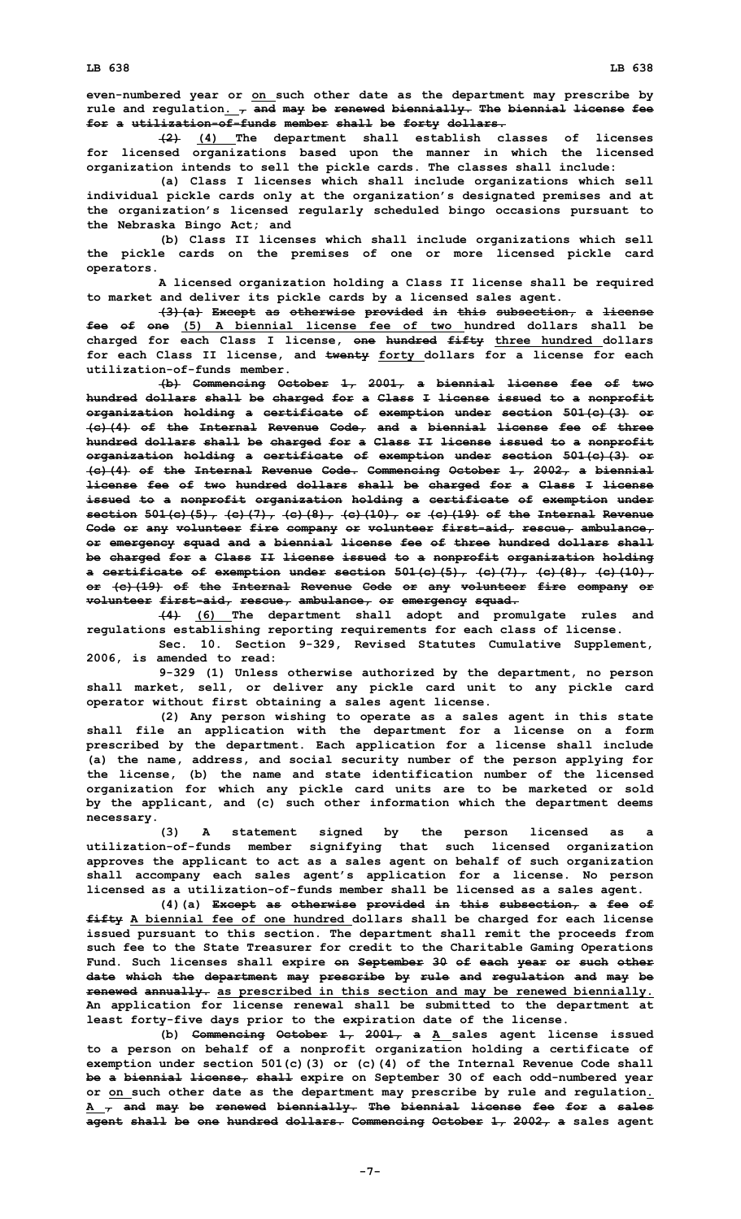**even-numbered year or on such other date as the department may prescribe by rule and regulation. , and may be renewed biennially. The biennial license fee for <sup>a</sup> utilization-of-funds member shall be forty dollars.**

**(2) (4) The department shall establish classes of licenses for licensed organizations based upon the manner in which the licensed organization intends to sell the pickle cards. The classes shall include:**

**(a) Class <sup>I</sup> licenses which shall include organizations which sell individual pickle cards only at the organization's designated premises and at the organization's licensed regularly scheduled bingo occasions pursuant to the Nebraska Bingo Act; and**

**(b) Class II licenses which shall include organizations which sell the pickle cards on the premises of one or more licensed pickle card operators.**

**A licensed organization holding <sup>a</sup> Class II license shall be required to market and deliver its pickle cards by <sup>a</sup> licensed sales agent.**

**(3)(a) Except as otherwise provided in this subsection, <sup>a</sup> license fee of one (5) A biennial license fee of two hundred dollars shall be charged for each Class I license, one hundred fifty three hundred dollars for each Class II license, and twenty forty dollars for <sup>a</sup> license for each utilization-of-funds member.**

**(b) Commencing October 1, 2001, <sup>a</sup> biennial license fee of two hundred dollars shall be charged for <sup>a</sup> Class I license issued to <sup>a</sup> nonprofit organization holding <sup>a</sup> certificate of exemption under section 501(c)(3) or (c)(4) of the Internal Revenue Code, and <sup>a</sup> biennial license fee of three hundred dollars shall be charged for <sup>a</sup> Class II license issued to <sup>a</sup> nonprofit organization holding <sup>a</sup> certificate of exemption under section 501(c)(3) or (c)(4) of the Internal Revenue Code. Commencing October 1, 2002, <sup>a</sup> biennial license fee of two hundred dollars shall be charged for <sup>a</sup> Class I license issued to <sup>a</sup> nonprofit organization holding <sup>a</sup> certificate of exemption under section 501(c)(5), (c)(7), (c)(8), (c)(10), or (c)(19) of the Internal Revenue Code or any volunteer fire company or volunteer first-aid, rescue, ambulance, or emergency squad and <sup>a</sup> biennial license fee of three hundred dollars shall be charged for <sup>a</sup> Class II license issued to <sup>a</sup> nonprofit organization holding <sup>a</sup> certificate of exemption under section 501(c)(5), (c)(7), (c)(8), (c)(10), or (c)(19) of the Internal Revenue Code or any volunteer fire company or volunteer first-aid, rescue, ambulance, or emergency squad.**

**(4) (6) The department shall adopt and promulgate rules and regulations establishing reporting requirements for each class of license.**

**Sec. 10. Section 9-329, Revised Statutes Cumulative Supplement, 2006, is amended to read:**

**9-329 (1) Unless otherwise authorized by the department, no person shall market, sell, or deliver any pickle card unit to any pickle card operator without first obtaining <sup>a</sup> sales agent license.**

**(2) Any person wishing to operate as <sup>a</sup> sales agent in this state shall file an application with the department for <sup>a</sup> license on <sup>a</sup> form prescribed by the department. Each application for <sup>a</sup> license shall include (a) the name, address, and social security number of the person applying for the license, (b) the name and state identification number of the licensed organization for which any pickle card units are to be marketed or sold by the applicant, and (c) such other information which the department deems necessary.**

**(3) <sup>A</sup> statement signed by the person licensed as <sup>a</sup> utilization-of-funds member signifying that such licensed organization approves the applicant to act as <sup>a</sup> sales agent on behalf of such organization shall accompany each sales agent's application for <sup>a</sup> license. No person licensed as <sup>a</sup> utilization-of-funds member shall be licensed as <sup>a</sup> sales agent.**

**(4)(a) Except as otherwise provided in this subsection, <sup>a</sup> fee of fifty A biennial fee of one hundred dollars shall be charged for each license issued pursuant to this section. The department shall remit the proceeds from such fee to the State Treasurer for credit to the Charitable Gaming Operations Fund. Such licenses shall expire on September 30 of each year or such other date which the department may prescribe by rule and regulation and may be renewed annually. as prescribed in this section and may be renewed biennially. An application for license renewal shall be submitted to the department at least forty-five days prior to the expiration date of the license.**

**(b) Commencing October 1, 2001, <sup>a</sup> <sup>A</sup> sales agent license issued to <sup>a</sup> person on behalf of <sup>a</sup> nonprofit organization holding <sup>a</sup> certificate of exemption under section 501(c)(3) or (c)(4) of the Internal Revenue Code shall be <sup>a</sup> biennial license, shall expire on September 30 of each odd-numbered year or on such other date as the department may prescribe by rule and regulation. A , and may be renewed biennially. The biennial license fee for <sup>a</sup> sales agent shall be one hundred dollars. Commencing October 1, 2002, <sup>a</sup> sales agent**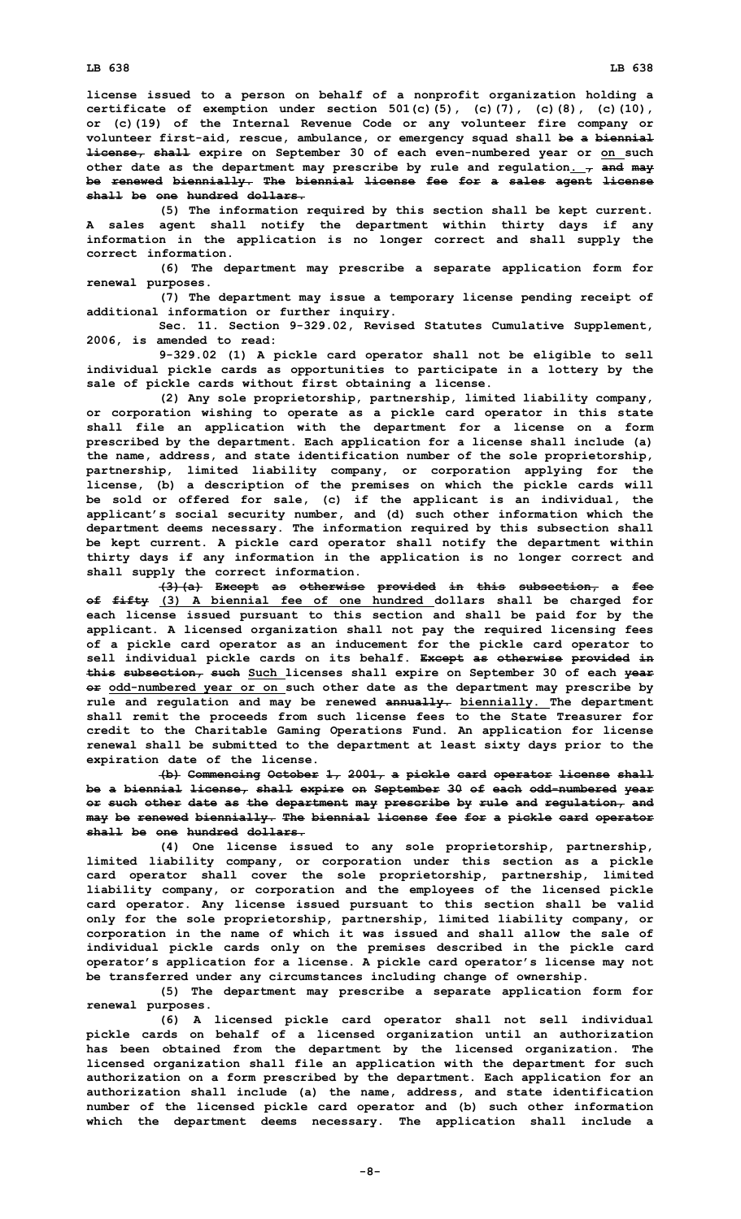**license issued to <sup>a</sup> person on behalf of <sup>a</sup> nonprofit organization holding <sup>a</sup> certificate of exemption under section 501(c)(5), (c)(7), (c)(8), (c)(10), or (c)(19) of the Internal Revenue Code or any volunteer fire company or volunteer first-aid, rescue, ambulance, or emergency squad shall be <sup>a</sup> biennial license, shall expire on September 30 of each even-numbered year or on such other date as the department may prescribe by rule and regulation. , and may be renewed biennially. The biennial license fee for <sup>a</sup> sales agent license shall be one hundred dollars.**

**(5) The information required by this section shall be kept current. A sales agent shall notify the department within thirty days if any information in the application is no longer correct and shall supply the correct information.**

**(6) The department may prescribe <sup>a</sup> separate application form for renewal purposes.**

**(7) The department may issue <sup>a</sup> temporary license pending receipt of additional information or further inquiry.**

**Sec. 11. Section 9-329.02, Revised Statutes Cumulative Supplement, 2006, is amended to read:**

**9-329.02 (1) <sup>A</sup> pickle card operator shall not be eligible to sell individual pickle cards as opportunities to participate in <sup>a</sup> lottery by the sale of pickle cards without first obtaining <sup>a</sup> license.**

**(2) Any sole proprietorship, partnership, limited liability company, or corporation wishing to operate as <sup>a</sup> pickle card operator in this state shall file an application with the department for <sup>a</sup> license on <sup>a</sup> form prescribed by the department. Each application for <sup>a</sup> license shall include (a) the name, address, and state identification number of the sole proprietorship, partnership, limited liability company, or corporation applying for the license, (b) <sup>a</sup> description of the premises on which the pickle cards will be sold or offered for sale, (c) if the applicant is an individual, the applicant's social security number, and (d) such other information which the department deems necessary. The information required by this subsection shall be kept current. A pickle card operator shall notify the department within thirty days if any information in the application is no longer correct and shall supply the correct information.**

**(3)(a) Except as otherwise provided in this subsection, <sup>a</sup> fee of fifty (3) <sup>A</sup> biennial fee of one hundred dollars shall be charged for each license issued pursuant to this section and shall be paid for by the applicant. A licensed organization shall not pay the required licensing fees of <sup>a</sup> pickle card operator as an inducement for the pickle card operator to sell individual pickle cards on its behalf. Except as otherwise provided in this subsection, such Such licenses shall expire on September 30 of each year or odd-numbered year or on such other date as the department may prescribe by rule and regulation and may be renewed annually. biennially. The department shall remit the proceeds from such license fees to the State Treasurer for credit to the Charitable Gaming Operations Fund. An application for license renewal shall be submitted to the department at least sixty days prior to the expiration date of the license.**

**(b) Commencing October 1, 2001, <sup>a</sup> pickle card operator license shall be <sup>a</sup> biennial license, shall expire on September 30 of each odd-numbered year or such other date as the department may prescribe by rule and regulation, and may be renewed biennially. The biennial license fee for <sup>a</sup> pickle card operator shall be one hundred dollars.**

**(4) One license issued to any sole proprietorship, partnership, limited liability company, or corporation under this section as <sup>a</sup> pickle card operator shall cover the sole proprietorship, partnership, limited liability company, or corporation and the employees of the licensed pickle card operator. Any license issued pursuant to this section shall be valid only for the sole proprietorship, partnership, limited liability company, or corporation in the name of which it was issued and shall allow the sale of individual pickle cards only on the premises described in the pickle card operator's application for <sup>a</sup> license. A pickle card operator's license may not be transferred under any circumstances including change of ownership.**

**(5) The department may prescribe <sup>a</sup> separate application form for renewal purposes.**

**(6) <sup>A</sup> licensed pickle card operator shall not sell individual pickle cards on behalf of <sup>a</sup> licensed organization until an authorization has been obtained from the department by the licensed organization. The licensed organization shall file an application with the department for such authorization on <sup>a</sup> form prescribed by the department. Each application for an authorization shall include (a) the name, address, and state identification number of the licensed pickle card operator and (b) such other information which the department deems necessary. The application shall include <sup>a</sup>**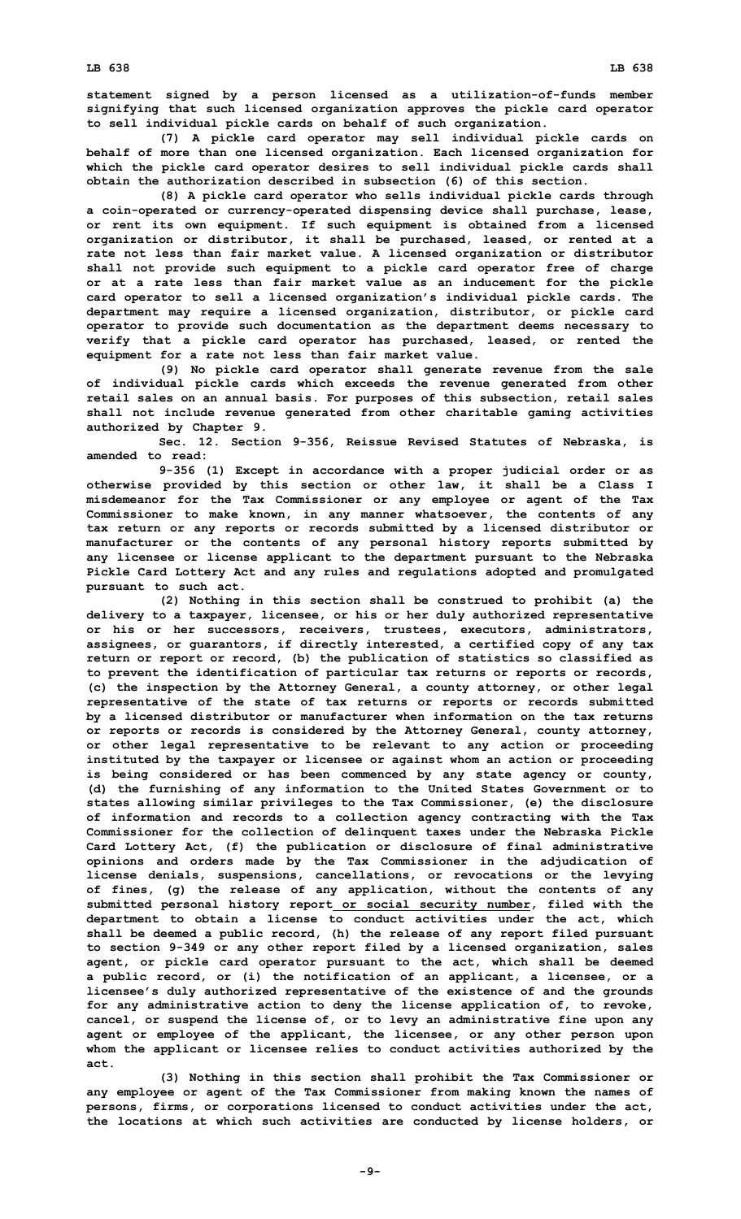**statement signed by <sup>a</sup> person licensed as <sup>a</sup> utilization-of-funds member signifying that such licensed organization approves the pickle card operator to sell individual pickle cards on behalf of such organization.**

**(7) <sup>A</sup> pickle card operator may sell individual pickle cards on behalf of more than one licensed organization. Each licensed organization for which the pickle card operator desires to sell individual pickle cards shall obtain the authorization described in subsection (6) of this section.**

**(8) <sup>A</sup> pickle card operator who sells individual pickle cards through <sup>a</sup> coin-operated or currency-operated dispensing device shall purchase, lease, or rent its own equipment. If such equipment is obtained from <sup>a</sup> licensed organization or distributor, it shall be purchased, leased, or rented at <sup>a</sup> rate not less than fair market value. A licensed organization or distributor shall not provide such equipment to <sup>a</sup> pickle card operator free of charge or at <sup>a</sup> rate less than fair market value as an inducement for the pickle card operator to sell <sup>a</sup> licensed organization's individual pickle cards. The department may require <sup>a</sup> licensed organization, distributor, or pickle card operator to provide such documentation as the department deems necessary to verify that <sup>a</sup> pickle card operator has purchased, leased, or rented the equipment for <sup>a</sup> rate not less than fair market value.**

**(9) No pickle card operator shall generate revenue from the sale of individual pickle cards which exceeds the revenue generated from other retail sales on an annual basis. For purposes of this subsection, retail sales shall not include revenue generated from other charitable gaming activities authorized by Chapter 9.**

**Sec. 12. Section 9-356, Reissue Revised Statutes of Nebraska, is amended to read:**

**9-356 (1) Except in accordance with <sup>a</sup> proper judicial order or as otherwise provided by this section or other law, it shall be <sup>a</sup> Class I misdemeanor for the Tax Commissioner or any employee or agent of the Tax Commissioner to make known, in any manner whatsoever, the contents of any tax return or any reports or records submitted by <sup>a</sup> licensed distributor or manufacturer or the contents of any personal history reports submitted by any licensee or license applicant to the department pursuant to the Nebraska Pickle Card Lottery Act and any rules and regulations adopted and promulgated pursuant to such act.**

**(2) Nothing in this section shall be construed to prohibit (a) the delivery to <sup>a</sup> taxpayer, licensee, or his or her duly authorized representative or his or her successors, receivers, trustees, executors, administrators, assignees, or guarantors, if directly interested, <sup>a</sup> certified copy of any tax return or report or record, (b) the publication of statistics so classified as to prevent the identification of particular tax returns or reports or records, (c) the inspection by the Attorney General, <sup>a</sup> county attorney, or other legal representative of the state of tax returns or reports or records submitted by <sup>a</sup> licensed distributor or manufacturer when information on the tax returns or reports or records is considered by the Attorney General, county attorney, or other legal representative to be relevant to any action or proceeding instituted by the taxpayer or licensee or against whom an action or proceeding is being considered or has been commenced by any state agency or county, (d) the furnishing of any information to the United States Government or to states allowing similar privileges to the Tax Commissioner, (e) the disclosure of information and records to <sup>a</sup> collection agency contracting with the Tax Commissioner for the collection of delinquent taxes under the Nebraska Pickle Card Lottery Act, (f) the publication or disclosure of final administrative opinions and orders made by the Tax Commissioner in the adjudication of license denials, suspensions, cancellations, or revocations or the levying of fines, (g) the release of any application, without the contents of any submitted personal history report or social security number, filed with the department to obtain <sup>a</sup> license to conduct activities under the act, which shall be deemed <sup>a</sup> public record, (h) the release of any report filed pursuant to section 9-349 or any other report filed by <sup>a</sup> licensed organization, sales agent, or pickle card operator pursuant to the act, which shall be deemed <sup>a</sup> public record, or (i) the notification of an applicant, <sup>a</sup> licensee, or <sup>a</sup> licensee's duly authorized representative of the existence of and the grounds for any administrative action to deny the license application of, to revoke, cancel, or suspend the license of, or to levy an administrative fine upon any agent or employee of the applicant, the licensee, or any other person upon whom the applicant or licensee relies to conduct activities authorized by the act.**

**(3) Nothing in this section shall prohibit the Tax Commissioner or any employee or agent of the Tax Commissioner from making known the names of persons, firms, or corporations licensed to conduct activities under the act, the locations at which such activities are conducted by license holders, or**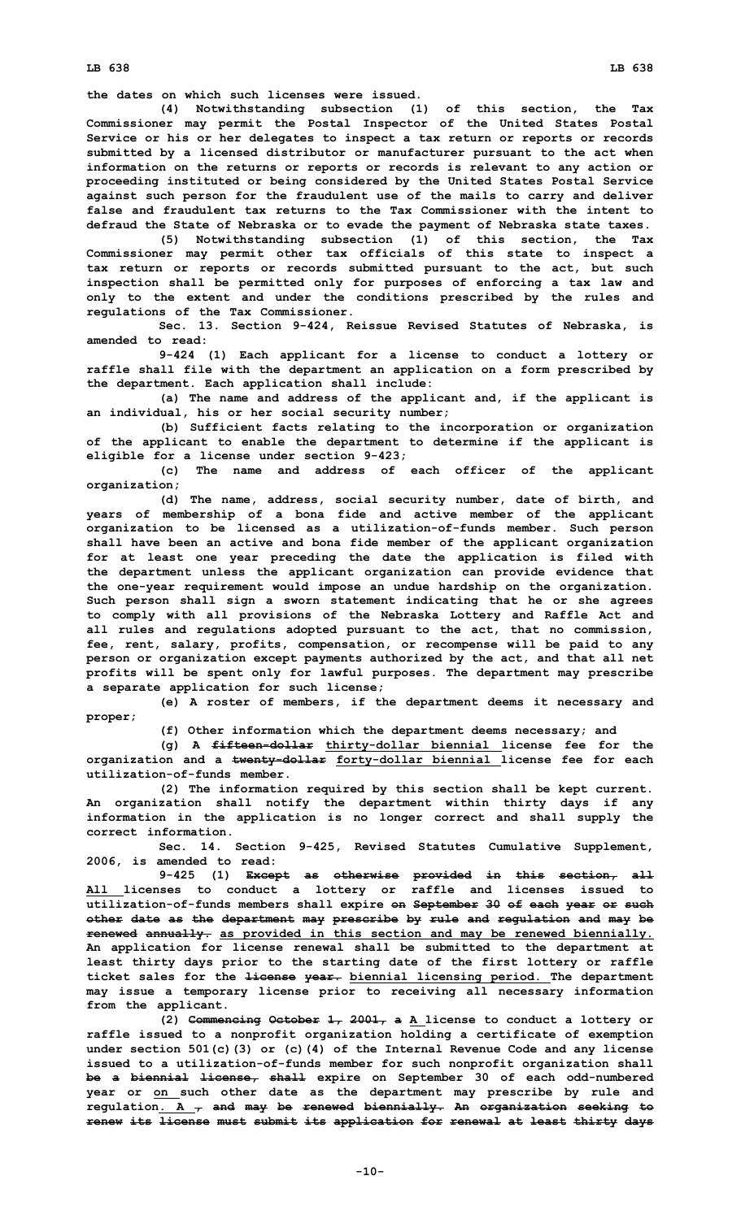**the dates on which such licenses were issued.**

**(4) Notwithstanding subsection (1) of this section, the Tax Commissioner may permit the Postal Inspector of the United States Postal Service or his or her delegates to inspect <sup>a</sup> tax return or reports or records submitted by <sup>a</sup> licensed distributor or manufacturer pursuant to the act when information on the returns or reports or records is relevant to any action or proceeding instituted or being considered by the United States Postal Service against such person for the fraudulent use of the mails to carry and deliver false and fraudulent tax returns to the Tax Commissioner with the intent to defraud the State of Nebraska or to evade the payment of Nebraska state taxes.**

**(5) Notwithstanding subsection (1) of this section, the Tax Commissioner may permit other tax officials of this state to inspect <sup>a</sup> tax return or reports or records submitted pursuant to the act, but such inspection shall be permitted only for purposes of enforcing <sup>a</sup> tax law and only to the extent and under the conditions prescribed by the rules and regulations of the Tax Commissioner.**

**Sec. 13. Section 9-424, Reissue Revised Statutes of Nebraska, is amended to read:**

**9-424 (1) Each applicant for <sup>a</sup> license to conduct <sup>a</sup> lottery or raffle shall file with the department an application on <sup>a</sup> form prescribed by the department. Each application shall include:**

**(a) The name and address of the applicant and, if the applicant is an individual, his or her social security number;**

**(b) Sufficient facts relating to the incorporation or organization of the applicant to enable the department to determine if the applicant is eligible for <sup>a</sup> license under section 9-423;**

**(c) The name and address of each officer of the applicant organization;**

**(d) The name, address, social security number, date of birth, and years of membership of <sup>a</sup> bona fide and active member of the applicant organization to be licensed as <sup>a</sup> utilization-of-funds member. Such person shall have been an active and bona fide member of the applicant organization for at least one year preceding the date the application is filed with the department unless the applicant organization can provide evidence that the one-year requirement would impose an undue hardship on the organization. Such person shall sign <sup>a</sup> sworn statement indicating that he or she agrees to comply with all provisions of the Nebraska Lottery and Raffle Act and all rules and regulations adopted pursuant to the act, that no commission, fee, rent, salary, profits, compensation, or recompense will be paid to any person or organization except payments authorized by the act, and that all net profits will be spent only for lawful purposes. The department may prescribe <sup>a</sup> separate application for such license;**

**(e) <sup>A</sup> roster of members, if the department deems it necessary and proper;**

**(f) Other information which the department deems necessary; and**

**(g) <sup>A</sup> fifteen-dollar thirty-dollar biennial license fee for the organization and <sup>a</sup> twenty-dollar forty-dollar biennial license fee for each utilization-of-funds member.**

**(2) The information required by this section shall be kept current. An organization shall notify the department within thirty days if any information in the application is no longer correct and shall supply the correct information.**

**Sec. 14. Section 9-425, Revised Statutes Cumulative Supplement, 2006, is amended to read:**

**9-425 (1) Except as otherwise provided in this section, all All licenses to conduct <sup>a</sup> lottery or raffle and licenses issued to utilization-of-funds members shall expire on September 30 of each year or such other date as the department may prescribe by rule and regulation and may be renewed annually. as provided in this section and may be renewed biennially. An application for license renewal shall be submitted to the department at least thirty days prior to the starting date of the first lottery or raffle ticket sales for the license year. biennial licensing period. The department may issue <sup>a</sup> temporary license prior to receiving all necessary information from the applicant.**

**(2) Commencing October 1, 2001, <sup>a</sup> <sup>A</sup> license to conduct <sup>a</sup> lottery or raffle issued to <sup>a</sup> nonprofit organization holding <sup>a</sup> certificate of exemption under section 501(c)(3) or (c)(4) of the Internal Revenue Code and any license issued to <sup>a</sup> utilization-of-funds member for such nonprofit organization shall be <sup>a</sup> biennial license, shall expire on September 30 of each odd-numbered year or on such other date as the department may prescribe by rule and regulation. A , and may be renewed biennially. An organization seeking to renew its license must submit its application for renewal at least thirty days**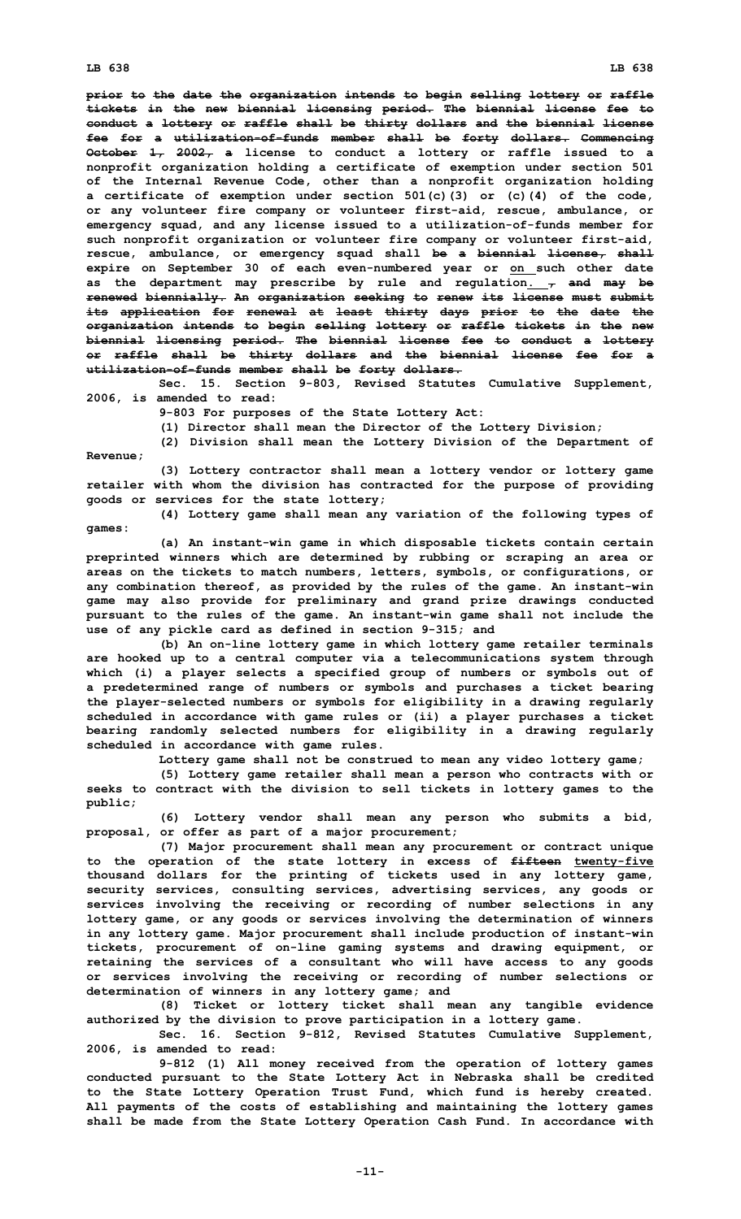**prior to the date the organization intends to begin selling lottery or raffle tickets in the new biennial licensing period. The biennial license fee to conduct <sup>a</sup> lottery or raffle shall be thirty dollars and the biennial license fee for <sup>a</sup> utilization-of-funds member shall be forty dollars. Commencing October 1, 2002, <sup>a</sup> license to conduct <sup>a</sup> lottery or raffle issued to <sup>a</sup> nonprofit organization holding <sup>a</sup> certificate of exemption under section 501 of the Internal Revenue Code, other than <sup>a</sup> nonprofit organization holding <sup>a</sup> certificate of exemption under section 501(c)(3) or (c)(4) of the code, or any volunteer fire company or volunteer first-aid, rescue, ambulance, or emergency squad, and any license issued to <sup>a</sup> utilization-of-funds member for such nonprofit organization or volunteer fire company or volunteer first-aid, rescue, ambulance, or emergency squad shall be <sup>a</sup> biennial license, shall expire on September 30 of each even-numbered year or on such other date as the department may prescribe by rule and regulation. , and may be renewed biennially. An organization seeking to renew its license must submit its application for renewal at least thirty days prior to the date the organization intends to begin selling lottery or raffle tickets in the new biennial licensing period. The biennial license fee to conduct <sup>a</sup> lottery or raffle shall be thirty dollars and the biennial license fee for <sup>a</sup> utilization-of-funds member shall be forty dollars.**

**Sec. 15. Section 9-803, Revised Statutes Cumulative Supplement, 2006, is amended to read:**

**9-803 For purposes of the State Lottery Act:**

**(1) Director shall mean the Director of the Lottery Division;**

**(2) Division shall mean the Lottery Division of the Department of Revenue;**

**(3) Lottery contractor shall mean <sup>a</sup> lottery vendor or lottery game retailer with whom the division has contracted for the purpose of providing goods or services for the state lottery;**

**(4) Lottery game shall mean any variation of the following types of games:**

**(a) An instant-win game in which disposable tickets contain certain preprinted winners which are determined by rubbing or scraping an area or areas on the tickets to match numbers, letters, symbols, or configurations, or any combination thereof, as provided by the rules of the game. An instant-win game may also provide for preliminary and grand prize drawings conducted pursuant to the rules of the game. An instant-win game shall not include the use of any pickle card as defined in section 9-315; and**

**(b) An on-line lottery game in which lottery game retailer terminals are hooked up to <sup>a</sup> central computer via <sup>a</sup> telecommunications system through which (i) <sup>a</sup> player selects <sup>a</sup> specified group of numbers or symbols out of <sup>a</sup> predetermined range of numbers or symbols and purchases <sup>a</sup> ticket bearing the player-selected numbers or symbols for eligibility in <sup>a</sup> drawing regularly scheduled in accordance with game rules or (ii) <sup>a</sup> player purchases <sup>a</sup> ticket bearing randomly selected numbers for eligibility in <sup>a</sup> drawing regularly scheduled in accordance with game rules.**

**Lottery game shall not be construed to mean any video lottery game;**

**(5) Lottery game retailer shall mean <sup>a</sup> person who contracts with or seeks to contract with the division to sell tickets in lottery games to the public;**

**(6) Lottery vendor shall mean any person who submits <sup>a</sup> bid, proposal, or offer as part of <sup>a</sup> major procurement;**

**(7) Major procurement shall mean any procurement or contract unique to the operation of the state lottery in excess of fifteen twenty-five thousand dollars for the printing of tickets used in any lottery game, security services, consulting services, advertising services, any goods or services involving the receiving or recording of number selections in any lottery game, or any goods or services involving the determination of winners in any lottery game. Major procurement shall include production of instant-win tickets, procurement of on-line gaming systems and drawing equipment, or retaining the services of <sup>a</sup> consultant who will have access to any goods or services involving the receiving or recording of number selections or determination of winners in any lottery game; and**

**(8) Ticket or lottery ticket shall mean any tangible evidence authorized by the division to prove participation in <sup>a</sup> lottery game.**

**Sec. 16. Section 9-812, Revised Statutes Cumulative Supplement, 2006, is amended to read:**

**9-812 (1) All money received from the operation of lottery games conducted pursuant to the State Lottery Act in Nebraska shall be credited to the State Lottery Operation Trust Fund, which fund is hereby created. All payments of the costs of establishing and maintaining the lottery games shall be made from the State Lottery Operation Cash Fund. In accordance with**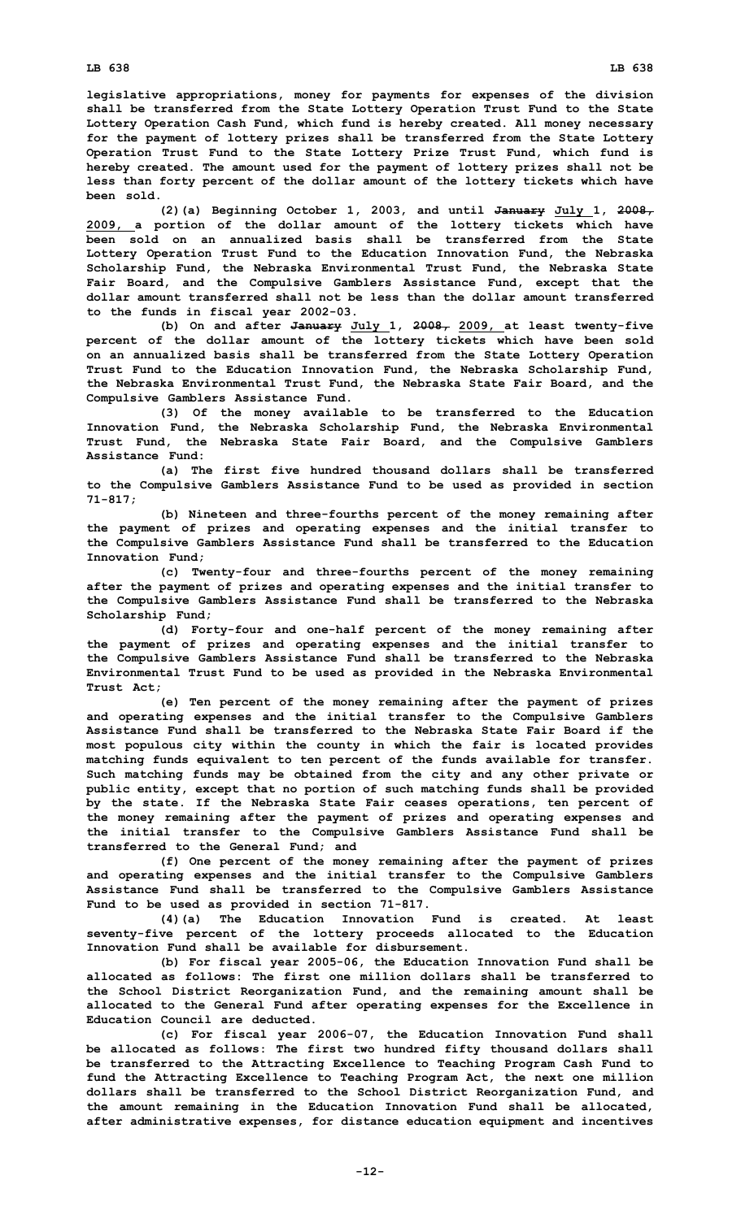**legislative appropriations, money for payments for expenses of the division shall be transferred from the State Lottery Operation Trust Fund to the State Lottery Operation Cash Fund, which fund is hereby created. All money necessary for the payment of lottery prizes shall be transferred from the State Lottery Operation Trust Fund to the State Lottery Prize Trust Fund, which fund is hereby created. The amount used for the payment of lottery prizes shall not be less than forty percent of the dollar amount of the lottery tickets which have been sold.**

**(2)(a) Beginning October 1, 2003, and until January July 1, 2008, 2009, <sup>a</sup> portion of the dollar amount of the lottery tickets which have been sold on an annualized basis shall be transferred from the State Lottery Operation Trust Fund to the Education Innovation Fund, the Nebraska Scholarship Fund, the Nebraska Environmental Trust Fund, the Nebraska State Fair Board, and the Compulsive Gamblers Assistance Fund, except that the dollar amount transferred shall not be less than the dollar amount transferred to the funds in fiscal year 2002-03.**

**(b) On and after January July 1, 2008, 2009, at least twenty-five percent of the dollar amount of the lottery tickets which have been sold on an annualized basis shall be transferred from the State Lottery Operation Trust Fund to the Education Innovation Fund, the Nebraska Scholarship Fund, the Nebraska Environmental Trust Fund, the Nebraska State Fair Board, and the Compulsive Gamblers Assistance Fund.**

**(3) Of the money available to be transferred to the Education Innovation Fund, the Nebraska Scholarship Fund, the Nebraska Environmental Trust Fund, the Nebraska State Fair Board, and the Compulsive Gamblers Assistance Fund:**

**(a) The first five hundred thousand dollars shall be transferred to the Compulsive Gamblers Assistance Fund to be used as provided in section 71-817;**

**(b) Nineteen and three-fourths percent of the money remaining after the payment of prizes and operating expenses and the initial transfer to the Compulsive Gamblers Assistance Fund shall be transferred to the Education Innovation Fund;**

**(c) Twenty-four and three-fourths percent of the money remaining after the payment of prizes and operating expenses and the initial transfer to the Compulsive Gamblers Assistance Fund shall be transferred to the Nebraska Scholarship Fund;**

**(d) Forty-four and one-half percent of the money remaining after the payment of prizes and operating expenses and the initial transfer to the Compulsive Gamblers Assistance Fund shall be transferred to the Nebraska Environmental Trust Fund to be used as provided in the Nebraska Environmental Trust Act;**

**(e) Ten percent of the money remaining after the payment of prizes and operating expenses and the initial transfer to the Compulsive Gamblers Assistance Fund shall be transferred to the Nebraska State Fair Board if the most populous city within the county in which the fair is located provides matching funds equivalent to ten percent of the funds available for transfer. Such matching funds may be obtained from the city and any other private or public entity, except that no portion of such matching funds shall be provided by the state. If the Nebraska State Fair ceases operations, ten percent of the money remaining after the payment of prizes and operating expenses and the initial transfer to the Compulsive Gamblers Assistance Fund shall be transferred to the General Fund; and**

**(f) One percent of the money remaining after the payment of prizes and operating expenses and the initial transfer to the Compulsive Gamblers Assistance Fund shall be transferred to the Compulsive Gamblers Assistance Fund to be used as provided in section 71-817.**

**(4)(a) The Education Innovation Fund is created. At least seventy-five percent of the lottery proceeds allocated to the Education Innovation Fund shall be available for disbursement.**

**(b) For fiscal year 2005-06, the Education Innovation Fund shall be allocated as follows: The first one million dollars shall be transferred to the School District Reorganization Fund, and the remaining amount shall be allocated to the General Fund after operating expenses for the Excellence in Education Council are deducted.**

**(c) For fiscal year 2006-07, the Education Innovation Fund shall be allocated as follows: The first two hundred fifty thousand dollars shall be transferred to the Attracting Excellence to Teaching Program Cash Fund to fund the Attracting Excellence to Teaching Program Act, the next one million dollars shall be transferred to the School District Reorganization Fund, and the amount remaining in the Education Innovation Fund shall be allocated, after administrative expenses, for distance education equipment and incentives**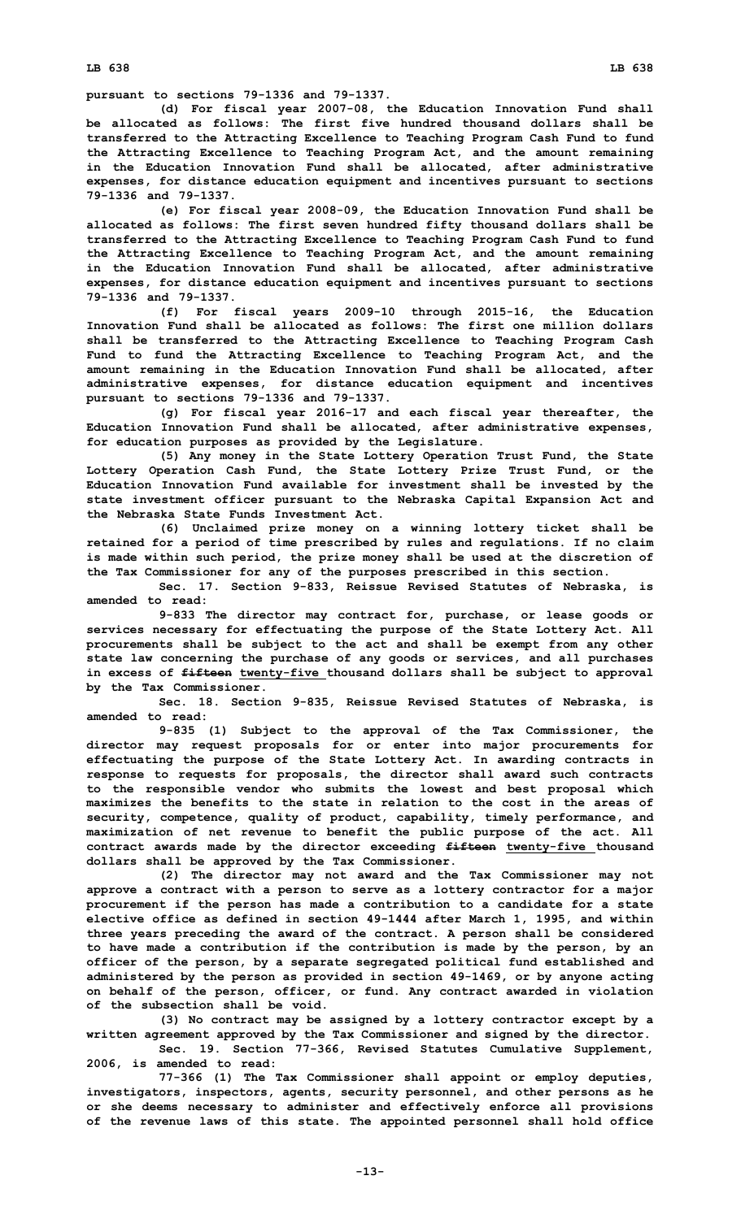**pursuant to sections 79-1336 and 79-1337.**

**(d) For fiscal year 2007-08, the Education Innovation Fund shall be allocated as follows: The first five hundred thousand dollars shall be transferred to the Attracting Excellence to Teaching Program Cash Fund to fund the Attracting Excellence to Teaching Program Act, and the amount remaining in the Education Innovation Fund shall be allocated, after administrative expenses, for distance education equipment and incentives pursuant to sections 79-1336 and 79-1337.**

**(e) For fiscal year 2008-09, the Education Innovation Fund shall be allocated as follows: The first seven hundred fifty thousand dollars shall be transferred to the Attracting Excellence to Teaching Program Cash Fund to fund the Attracting Excellence to Teaching Program Act, and the amount remaining in the Education Innovation Fund shall be allocated, after administrative expenses, for distance education equipment and incentives pursuant to sections 79-1336 and 79-1337.**

**(f) For fiscal years 2009-10 through 2015-16, the Education Innovation Fund shall be allocated as follows: The first one million dollars shall be transferred to the Attracting Excellence to Teaching Program Cash Fund to fund the Attracting Excellence to Teaching Program Act, and the amount remaining in the Education Innovation Fund shall be allocated, after administrative expenses, for distance education equipment and incentives pursuant to sections 79-1336 and 79-1337.**

**(g) For fiscal year 2016-17 and each fiscal year thereafter, the Education Innovation Fund shall be allocated, after administrative expenses, for education purposes as provided by the Legislature.**

**(5) Any money in the State Lottery Operation Trust Fund, the State Lottery Operation Cash Fund, the State Lottery Prize Trust Fund, or the Education Innovation Fund available for investment shall be invested by the state investment officer pursuant to the Nebraska Capital Expansion Act and the Nebraska State Funds Investment Act.**

**(6) Unclaimed prize money on <sup>a</sup> winning lottery ticket shall be retained for <sup>a</sup> period of time prescribed by rules and regulations. If no claim is made within such period, the prize money shall be used at the discretion of the Tax Commissioner for any of the purposes prescribed in this section.**

**Sec. 17. Section 9-833, Reissue Revised Statutes of Nebraska, is amended to read:**

**9-833 The director may contract for, purchase, or lease goods or services necessary for effectuating the purpose of the State Lottery Act. All procurements shall be subject to the act and shall be exempt from any other state law concerning the purchase of any goods or services, and all purchases in excess of fifteen twenty-five thousand dollars shall be subject to approval by the Tax Commissioner.**

**Sec. 18. Section 9-835, Reissue Revised Statutes of Nebraska, is amended to read:**

**9-835 (1) Subject to the approval of the Tax Commissioner, the director may request proposals for or enter into major procurements for effectuating the purpose of the State Lottery Act. In awarding contracts in response to requests for proposals, the director shall award such contracts to the responsible vendor who submits the lowest and best proposal which maximizes the benefits to the state in relation to the cost in the areas of security, competence, quality of product, capability, timely performance, and maximization of net revenue to benefit the public purpose of the act. All contract awards made by the director exceeding fifteen twenty-five thousand dollars shall be approved by the Tax Commissioner.**

**(2) The director may not award and the Tax Commissioner may not approve <sup>a</sup> contract with <sup>a</sup> person to serve as <sup>a</sup> lottery contractor for <sup>a</sup> major procurement if the person has made <sup>a</sup> contribution to <sup>a</sup> candidate for <sup>a</sup> state elective office as defined in section 49-1444 after March 1, 1995, and within three years preceding the award of the contract. A person shall be considered to have made <sup>a</sup> contribution if the contribution is made by the person, by an officer of the person, by <sup>a</sup> separate segregated political fund established and administered by the person as provided in section 49-1469, or by anyone acting on behalf of the person, officer, or fund. Any contract awarded in violation of the subsection shall be void.**

**(3) No contract may be assigned by <sup>a</sup> lottery contractor except by <sup>a</sup> written agreement approved by the Tax Commissioner and signed by the director. Sec. 19. Section 77-366, Revised Statutes Cumulative Supplement,**

**2006, is amended to read:**

**77-366 (1) The Tax Commissioner shall appoint or employ deputies, investigators, inspectors, agents, security personnel, and other persons as he or she deems necessary to administer and effectively enforce all provisions of the revenue laws of this state. The appointed personnel shall hold office**